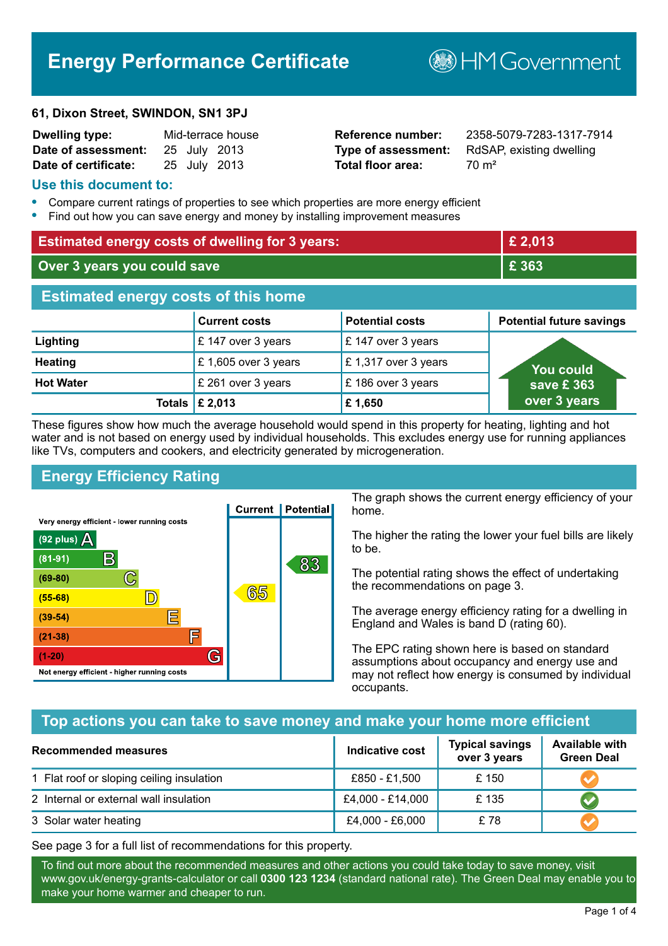# **Energy Performance Certificate**

#### **61, Dixon Street, SWINDON, SN1 3PJ**

| <b>Dwelling type:</b> |  | Mid-terrace house |
|-----------------------|--|-------------------|
| Date of assessment:   |  | 25 July 2013      |
| Date of certificate:  |  | 25 July 2013      |

# **Total floor area:** 70 m<sup>2</sup>

**Reference number:** 2358-5079-7283-1317-7914 **Type of assessment:** RdSAP, existing dwelling

**BHM Government** 

### **Use this document to:**

- **•** Compare current ratings of properties to see which properties are more energy efficient
- **•** Find out how you can save energy and money by installing improvement measures

| <b>Estimated energy costs of dwelling for 3 years:</b> |                           | £ 2,013                |                                 |
|--------------------------------------------------------|---------------------------|------------------------|---------------------------------|
| Over 3 years you could save                            |                           | £ 363                  |                                 |
| <b>Estimated energy costs of this home</b>             |                           |                        |                                 |
|                                                        | <b>Current costs</b>      | <b>Potential costs</b> | <b>Potential future savings</b> |
| Lighting                                               | £ 147 over 3 years        | £ 147 over 3 years     |                                 |
| <b>Heating</b>                                         | £ 1,605 over 3 years      | £1,317 over 3 years    | You could                       |
| <b>Hot Water</b>                                       | £ 261 over 3 years        | £186 over 3 years      | save £ 363                      |
|                                                        | Totals $\mathsf{E}$ 2,013 | £1,650                 | over 3 years                    |

These figures show how much the average household would spend in this property for heating, lighting and hot water and is not based on energy used by individual households. This excludes energy use for running appliances like TVs, computers and cookers, and electricity generated by microgeneration.

# **Energy Efficiency Rating**



The graph shows the current energy efficiency of your home.

The higher the rating the lower your fuel bills are likely to be.

The potential rating shows the effect of undertaking the recommendations on page 3.

The average energy efficiency rating for a dwelling in England and Wales is band D (rating 60).

The EPC rating shown here is based on standard assumptions about occupancy and energy use and may not reflect how energy is consumed by individual occupants.

# **Top actions you can take to save money and make your home more efficient**

| <b>Recommended measures</b>               | Indicative cost  | <b>Typical savings</b><br>over 3 years | <b>Available with</b><br><b>Green Deal</b> |
|-------------------------------------------|------------------|----------------------------------------|--------------------------------------------|
| 1 Flat roof or sloping ceiling insulation | £850 - £1,500    | £150                                   |                                            |
| 2 Internal or external wall insulation    | £4,000 - £14,000 | £135                                   |                                            |
| 3 Solar water heating                     | £4,000 - £6,000  | £78                                    |                                            |

See page 3 for a full list of recommendations for this property.

To find out more about the recommended measures and other actions you could take today to save money, visit www.gov.uk/energy-grants-calculator or call **0300 123 1234** (standard national rate). The Green Deal may enable you to make your home warmer and cheaper to run.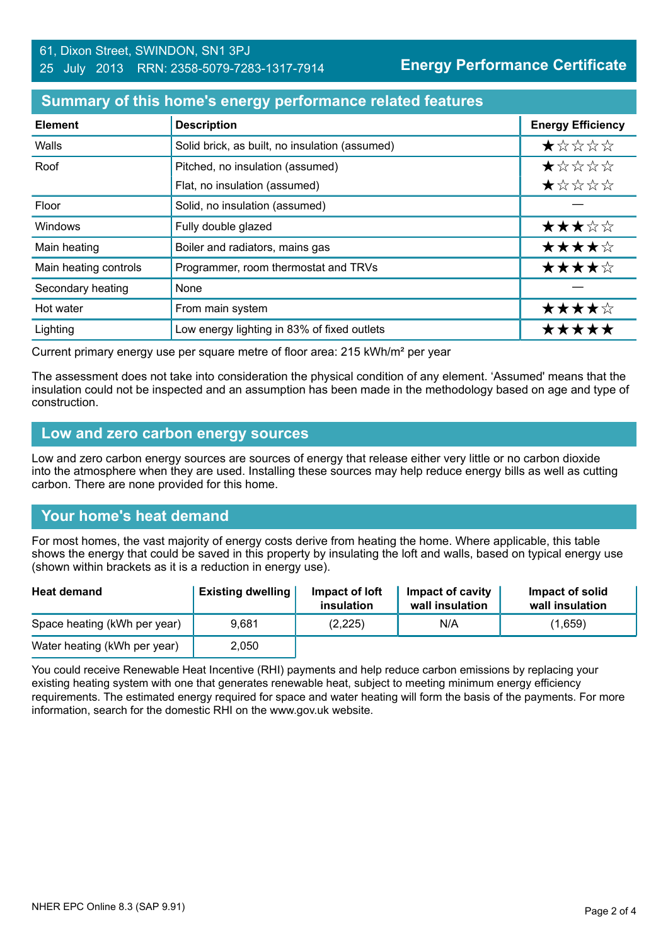# **Summary of this home's energy performance related features**

| <b>Element</b>        | <b>Description</b>                             | <b>Energy Efficiency</b> |
|-----------------------|------------------------------------------------|--------------------------|
| Walls                 | Solid brick, as built, no insulation (assumed) | $\star$ * * * *          |
| Roof                  | Pitched, no insulation (assumed)               | *****                    |
|                       | Flat, no insulation (assumed)                  | ★☆☆☆☆                    |
| Floor                 | Solid, no insulation (assumed)                 |                          |
| Windows               | Fully double glazed                            | ★★★☆☆                    |
| Main heating          | Boiler and radiators, mains gas                | ★★★★☆                    |
| Main heating controls | Programmer, room thermostat and TRVs           | ★★★★☆                    |
| Secondary heating     | None                                           |                          |
| Hot water             | From main system                               | ★★★★☆                    |
| Lighting              | Low energy lighting in 83% of fixed outlets    | <b>****</b> *            |

Current primary energy use per square metre of floor area: 215 kWh/m² per year

The assessment does not take into consideration the physical condition of any element. 'Assumed' means that the insulation could not be inspected and an assumption has been made in the methodology based on age and type of construction.

#### **Low and zero carbon energy sources**

Low and zero carbon energy sources are sources of energy that release either very little or no carbon dioxide into the atmosphere when they are used. Installing these sources may help reduce energy bills as well as cutting carbon. There are none provided for this home.

# **Your home's heat demand**

For most homes, the vast majority of energy costs derive from heating the home. Where applicable, this table shows the energy that could be saved in this property by insulating the loft and walls, based on typical energy use (shown within brackets as it is a reduction in energy use).

| <b>Heat demand</b>           | <b>Existing dwelling</b> | Impact of loft<br>insulation | Impact of cavity<br>wall insulation | Impact of solid<br>wall insulation |
|------------------------------|--------------------------|------------------------------|-------------------------------------|------------------------------------|
| Space heating (kWh per year) | 9.681                    | (2,225)                      | N/A                                 | (1,659)                            |
| Water heating (kWh per year) | 2,050                    |                              |                                     |                                    |

You could receive Renewable Heat Incentive (RHI) payments and help reduce carbon emissions by replacing your existing heating system with one that generates renewable heat, subject to meeting minimum energy efficiency requirements. The estimated energy required for space and water heating will form the basis of the payments. For more information, search for the domestic RHI on the www.gov.uk website.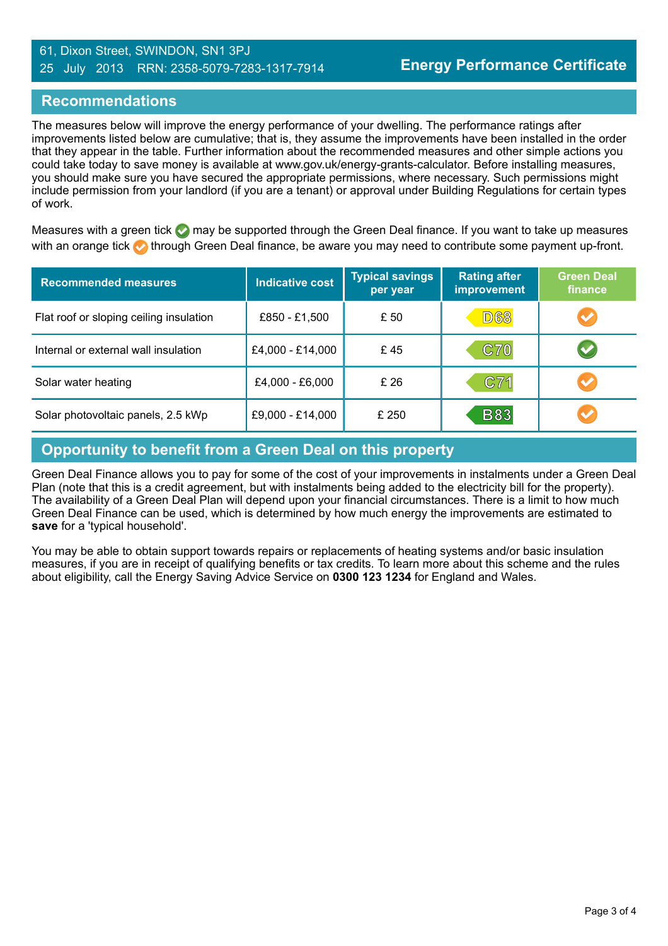#### 61, Dixon Street, SWINDON, SN1 3PJ 25 July 2013 RRN: 2358-5079-7283-1317-7914

# **Recommendations**

The measures below will improve the energy performance of your dwelling. The performance ratings after improvements listed below are cumulative; that is, they assume the improvements have been installed in the order that they appear in the table. Further information about the recommended measures and other simple actions you could take today to save money is available at www.gov.uk/energy-grants-calculator. Before installing measures, you should make sure you have secured the appropriate permissions, where necessary. Such permissions might include permission from your landlord (if you are a tenant) or approval under Building Regulations for certain types of work.

Measures with a green tick  $\bullet$  may be supported through the Green Deal finance. If you want to take up measures with an orange tick **th** through Green Deal finance, be aware you may need to contribute some payment up-front.

| <b>Recommended measures</b>             | <b>Indicative cost</b> | <b>Typical savings</b><br>per year | <b>Rating after</b><br>improvement | <b>Green Deal</b><br>finance |
|-----------------------------------------|------------------------|------------------------------------|------------------------------------|------------------------------|
| Flat roof or sloping ceiling insulation | £850 - £1,500          | £50                                | <b>D68</b>                         | $\blacktriangledown$         |
| Internal or external wall insulation    | £4,000 - £14,000       | £45                                | <b>C70</b>                         | $\blacktriangledown$         |
| Solar water heating                     | £4,000 - £6,000        | £26                                | C71                                | $\blacktriangledown$         |
| Solar photovoltaic panels, 2.5 kWp      | £9,000 - £14,000       | £ 250                              | <b>B83</b>                         | $\blacktriangledown$         |

# **Opportunity to benefit from a Green Deal on this property**

Green Deal Finance allows you to pay for some of the cost of your improvements in instalments under a Green Deal Plan (note that this is a credit agreement, but with instalments being added to the electricity bill for the property). The availability of a Green Deal Plan will depend upon your financial circumstances. There is a limit to how much Green Deal Finance can be used, which is determined by how much energy the improvements are estimated to **save** for a 'typical household'.

You may be able to obtain support towards repairs or replacements of heating systems and/or basic insulation measures, if you are in receipt of qualifying benefits or tax credits. To learn more about this scheme and the rules about eligibility, call the Energy Saving Advice Service on **0300 123 1234** for England and Wales.